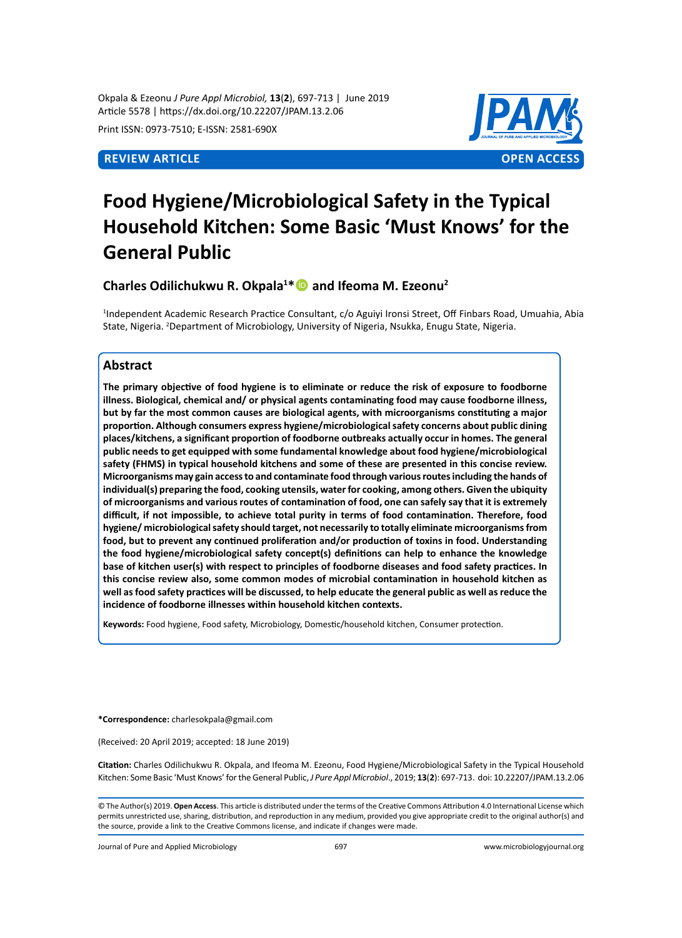Okpala & Ezeonu *J Pure Appl Microbiol,* **13**(**2**), 697-713 | June 2019 Article 5578 | https://dx.doi.org/10.22207/JPAM.13.2.06

Print ISSN: 0973-7510; E-ISSN: 2581-690X



# **Food Hygiene/Microbiological Safety in the Typical Household Kitchen: Some Basic 'Must Knows' for the General Public**

**Charles Odilichukwu R. Okpala1 \* and Ifeoma M. Ezeonu2**

1 Independent Academic Research Practice Consultant, c/o Aguiyi Ironsi Street, Off Finbars Road, Umuahia, Abia State, Nigeria. <sup>2</sup>Department of Microbiology, University of Nigeria, Nsukka, Enugu State, Nigeria.

# **Abstract**

**The primary objective of food hygiene is to eliminate or reduce the risk of exposure to foodborne illness. Biological, chemical and/ or physical agents contaminating food may cause foodborne illness, but by far the most common causes are biological agents, with microorganisms constituting a major proportion. Although consumers express hygiene/microbiological safety concerns about public dining places/kitchens, a significant proportion of foodborne outbreaks actually occur in homes. The general public needs to get equipped with some fundamental knowledge about food hygiene/microbiological safety (FHMS) in typical household kitchens and some of these are presented in this concise review. Microorganisms may gain access to and contaminate food through various routes including the hands of individual(s) preparing the food, cooking utensils, water for cooking, among others. Given the ubiquity of microorganisms and various routes of contamination of food, one can safely say that it is extremely difficult, if not impossible, to achieve total purity in terms of food contamination. Therefore, food hygiene/ microbiological safety should target, not necessarily to totally eliminate microorganisms from food, but to prevent any continued proliferation and/or production of toxins in food. Understanding the food hygiene/microbiological safety concept(s) definitions can help to enhance the knowledge base of kitchen user(s) with respect to principles of foodborne diseases and food safety practices. In this concise review also, some common modes of microbial contamination in household kitchen as well as food safety practices will be discussed, to help educate the general public as well as reduce the incidence of foodborne illnesses within household kitchen contexts.** 

**Keywords:** Food hygiene, Food safety, Microbiology, Domestic/household kitchen, Consumer protection.

**\*Correspondence:** charlesokpala@gmail.com

(Received: 20 April 2019; accepted: 18 June 2019)

**Citation:** Charles Odilichukwu R. Okpala, and Ifeoma M. Ezeonu, Food Hygiene/Microbiological Safety in the Typical Household Kitchen: Some Basic 'Must Knows' for the General Public, *J Pure Appl Microbiol*., 2019; **13**(**2**): 697-713. doi: 10.22207/JPAM.13.2.06

© The Author(s) 2019. **Open Access**. This article is distributed under the terms of the Creative Commons Attribution 4.0 International License which permits unrestricted use, sharing, distribution, and reproduction in any medium, provided you give appropriate credit to the original author(s) and the source, provide a link to the Creative Commons license, and indicate if changes were made.

Journal of Pure and Applied Microbiology 697 www.microbiologyjournal.org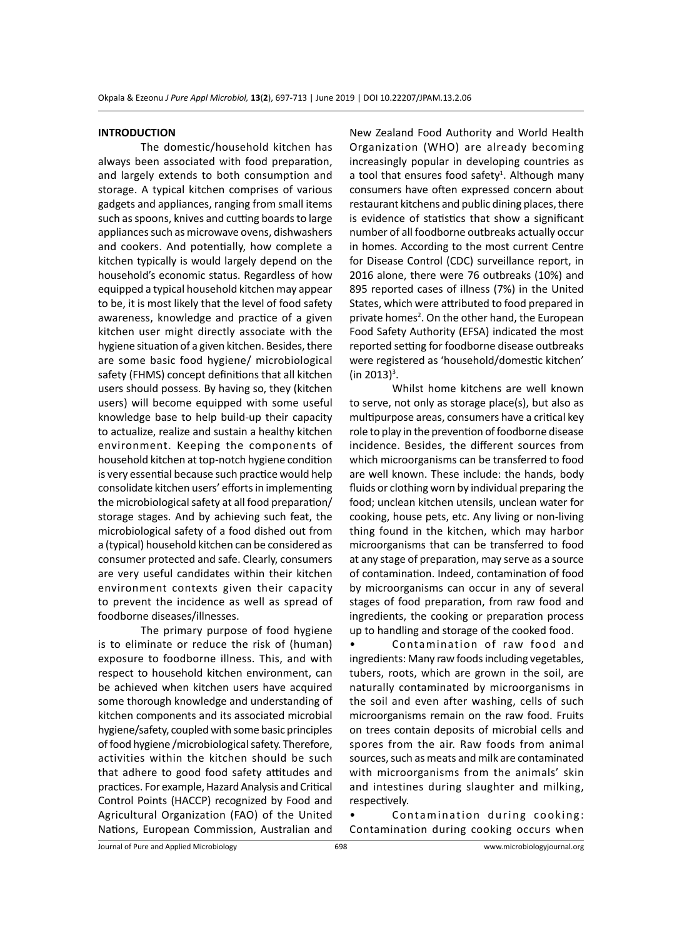#### **INTRODUCTION**

The domestic/household kitchen has always been associated with food preparation, and largely extends to both consumption and storage. A typical kitchen comprises of various gadgets and appliances, ranging from small items such as spoons, knives and cutting boards to large appliances such as microwave ovens, dishwashers and cookers. And potentially, how complete a kitchen typically is would largely depend on the household's economic status. Regardless of how equipped a typical household kitchen may appear to be, it is most likely that the level of food safety awareness, knowledge and practice of a given kitchen user might directly associate with the hygiene situation of a given kitchen. Besides, there are some basic food hygiene/ microbiological safety (FHMS) concept definitions that all kitchen users should possess. By having so, they (kitchen users) will become equipped with some useful knowledge base to help build-up their capacity to actualize, realize and sustain a healthy kitchen environment. Keeping the components of household kitchen at top-notch hygiene condition is very essential because such practice would help consolidate kitchen users' efforts in implementing the microbiological safety at all food preparation/ storage stages. And by achieving such feat, the microbiological safety of a food dished out from a (typical) household kitchen can be considered as consumer protected and safe. Clearly, consumers are very useful candidates within their kitchen environment contexts given their capacity to prevent the incidence as well as spread of foodborne diseases/illnesses.

The primary purpose of food hygiene is to eliminate or reduce the risk of (human) exposure to foodborne illness. This, and with respect to household kitchen environment, can be achieved when kitchen users have acquired some thorough knowledge and understanding of kitchen components and its associated microbial hygiene/safety, coupled with some basic principles of food hygiene /microbiological safety. Therefore, activities within the kitchen should be such that adhere to good food safety attitudes and practices. For example, Hazard Analysis and Critical Control Points (HACCP) recognized by Food and Agricultural Organization (FAO) of the United Nations, European Commission, Australian and New Zealand Food Authority and World Health Organization (WHO) are already becoming increasingly popular in developing countries as a tool that ensures food safety<sup>1</sup>. Although many consumers have often expressed concern about restaurant kitchens and public dining places, there is evidence of statistics that show a significant number of all foodborne outbreaks actually occur in homes. According to the most current Centre for Disease Control (CDC) surveillance report, in 2016 alone, there were 76 outbreaks (10%) and 895 reported cases of illness (7%) in the United States, which were attributed to food prepared in private homes<sup>2</sup>. On the other hand, the European Food Safety Authority (EFSA) indicated the most reported setting for foodborne disease outbreaks were registered as 'household/domestic kitchen' (in 2013)<sup>3</sup>.

Whilst home kitchens are well known to serve, not only as storage place(s), but also as multipurpose areas, consumers have a critical key role to play in the prevention of foodborne disease incidence. Besides, the different sources from which microorganisms can be transferred to food are well known. These include: the hands, body fluids or clothing worn by individual preparing the food; unclean kitchen utensils, unclean water for cooking, house pets, etc. Any living or non-living thing found in the kitchen, which may harbor microorganisms that can be transferred to food at any stage of preparation, may serve as a source of contamination. Indeed, contamination of food by microorganisms can occur in any of several stages of food preparation, from raw food and ingredients, the cooking or preparation process up to handling and storage of the cooked food.

• Contamination of raw food and ingredients: Many raw foods including vegetables, tubers, roots, which are grown in the soil, are naturally contaminated by microorganisms in the soil and even after washing, cells of such microorganisms remain on the raw food. Fruits on trees contain deposits of microbial cells and spores from the air. Raw foods from animal sources, such as meats and milk are contaminated with microorganisms from the animals' skin and intestines during slaughter and milking, respectively.

Contamination during cooking: Contamination during cooking occurs when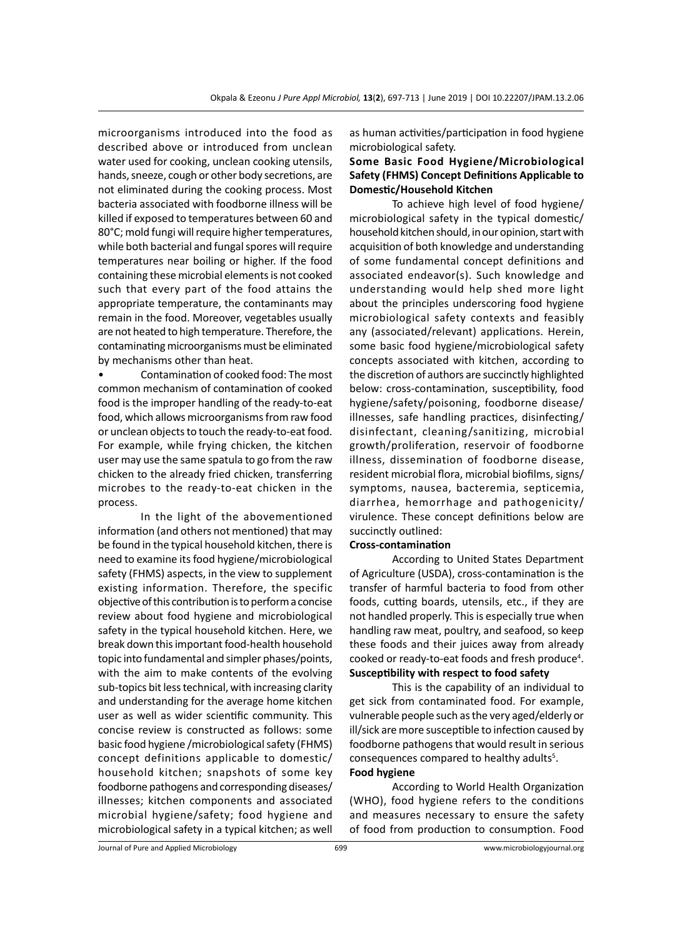microorganisms introduced into the food as described above or introduced from unclean water used for cooking, unclean cooking utensils, hands, sneeze, cough or other body secretions, are not eliminated during the cooking process. Most bacteria associated with foodborne illness will be killed if exposed to temperatures between 60 and 80°C; mold fungi will require higher temperatures, while both bacterial and fungal spores will require temperatures near boiling or higher. If the food containing these microbial elements is not cooked such that every part of the food attains the appropriate temperature, the contaminants may remain in the food. Moreover, vegetables usually are not heated to high temperature. Therefore, the contaminating microorganisms must be eliminated by mechanisms other than heat.

• Contamination of cooked food: The most common mechanism of contamination of cooked food is the improper handling of the ready-to-eat food, which allows microorganisms from raw food or unclean objects to touch the ready-to-eat food. For example, while frying chicken, the kitchen user may use the same spatula to go from the raw chicken to the already fried chicken, transferring microbes to the ready-to-eat chicken in the process.

In the light of the abovementioned information (and others not mentioned) that may be found in the typical household kitchen, there is need to examine its food hygiene/microbiological safety (FHMS) aspects, in the view to supplement existing information. Therefore, the specific objective of this contribution is to perform a concise review about food hygiene and microbiological safety in the typical household kitchen. Here, we break down this important food-health household topic into fundamental and simpler phases/points, with the aim to make contents of the evolving sub-topics bit less technical, with increasing clarity and understanding for the average home kitchen user as well as wider scientific community. This concise review is constructed as follows: some basic food hygiene /microbiological safety (FHMS) concept definitions applicable to domestic/ household kitchen; snapshots of some key foodborne pathogens and corresponding diseases/ illnesses; kitchen components and associated microbial hygiene/safety; food hygiene and microbiological safety in a typical kitchen; as well as human activities/participation in food hygiene microbiological safety.

# **Some Basic Food Hygiene/Microbiological Safety (FHMS) Concept Definitions Applicable to Domestic/Household Kitchen**

To achieve high level of food hygiene/ microbiological safety in the typical domestic/ household kitchen should, in our opinion, start with acquisition of both knowledge and understanding of some fundamental concept definitions and associated endeavor(s). Such knowledge and understanding would help shed more light about the principles underscoring food hygiene microbiological safety contexts and feasibly any (associated/relevant) applications. Herein, some basic food hygiene/microbiological safety concepts associated with kitchen, according to the discretion of authors are succinctly highlighted below: cross-contamination, susceptibility, food hygiene/safety/poisoning, foodborne disease/ illnesses, safe handling practices, disinfecting/ disinfectant, cleaning/sanitizing, microbial growth/proliferation, reservoir of foodborne illness, dissemination of foodborne disease, resident microbial flora, microbial biofilms, signs/ symptoms, nausea, bacteremia, septicemia, diarrhea, hemorrhage and pathogenicity/ virulence. These concept definitions below are succinctly outlined:

### **Cross-contamination**

According to United States Department of Agriculture (USDA), cross-contamination is the transfer of harmful bacteria to food from other foods, cutting boards, utensils, etc., if they are not handled properly. This is especially true when handling raw meat, poultry, and seafood, so keep these foods and their juices away from already cooked or ready-to-eat foods and fresh produce<sup>4</sup>. **Susceptibility with respect to food safety**

This is the capability of an individual to get sick from contaminated food. For example, vulnerable people such as the very aged/elderly or ill/sick are more susceptible to infection caused by foodborne pathogens that would result in serious consequences compared to healthy adults<sup>5</sup>.

#### **Food hygiene**

According to World Health Organization (WHO), food hygiene refers to the conditions and measures necessary to ensure the safety of food from production to consumption. Food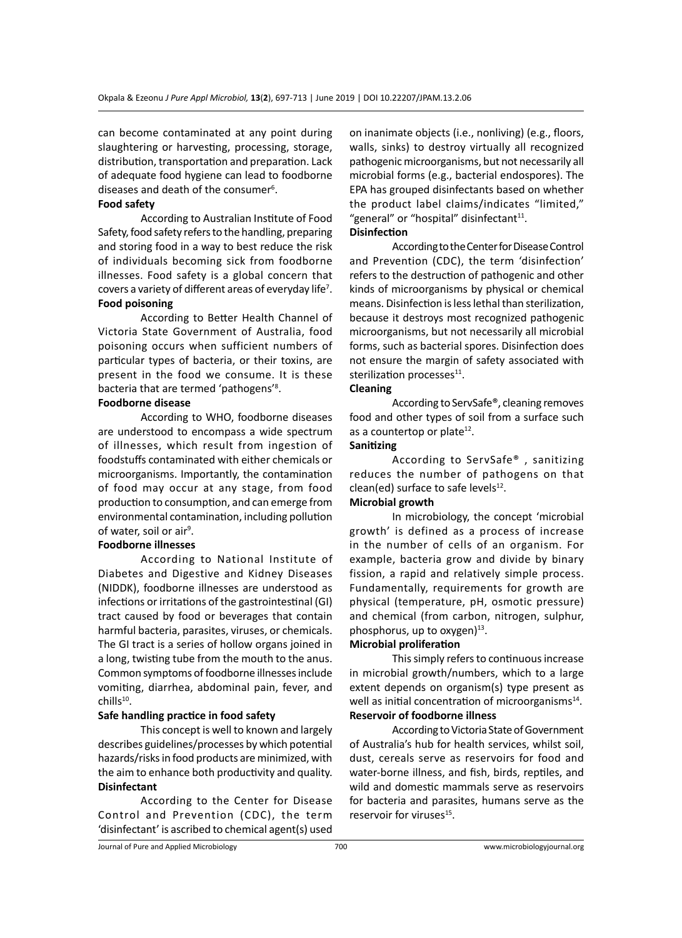can become contaminated at any point during slaughtering or harvesting, processing, storage, distribution, transportation and preparation. Lack of adequate food hygiene can lead to foodborne diseases and death of the consumer<sup>6</sup>.

#### **Food safety**

According to Australian Institute of Food Safety, food safety refers to the handling, preparing and storing food in a way to best reduce the risk of individuals becoming sick from foodborne illnesses. Food safety is a global concern that covers a variety of different areas of everyday life<sup>7</sup>. **Food poisoning**

According to Better Health Channel of Victoria State Government of Australia, food poisoning occurs when sufficient numbers of particular types of bacteria, or their toxins, are present in the food we consume. It is these bacteria that are termed 'pathogens'<sup>8</sup>.

#### **Foodborne disease**

According to WHO, foodborne diseases are understood to encompass a wide spectrum of illnesses, which result from ingestion of foodstuffs contaminated with either chemicals or microorganisms. Importantly, the contamination of food may occur at any stage, from food production to consumption, and can emerge from environmental contamination, including pollution of water, soil or air<sup>9</sup>.

#### **Foodborne illnesses**

According to National Institute of Diabetes and Digestive and Kidney Diseases (NIDDK), foodborne illnesses are understood as infections or irritations of the gastrointestinal (GI) tract caused by food or beverages that contain harmful bacteria, parasites, viruses, or chemicals. The GI tract is a series of hollow organs joined in a long, twisting tube from the mouth to the anus. Common symptoms of foodborne illnesses include vomiting, diarrhea, abdominal pain, fever, and chills<sup>10</sup>.

#### **Safe handling practice in food safety**

This concept is well to known and largely describes guidelines/processes by which potential hazards/risks in food products are minimized, with the aim to enhance both productivity and quality. **Disinfectant**

According to the Center for Disease Control and Prevention (CDC), the term 'disinfectant' is ascribed to chemical agent(s) used on inanimate objects (i.e., nonliving) (e.g., floors, walls, sinks) to destroy virtually all recognized pathogenic microorganisms, but not necessarily all microbial forms (e.g., bacterial endospores). The EPA has grouped disinfectants based on whether the product label claims/indicates "limited," "general" or "hospital" disinfectant $11$ .

# **Disinfection**

According to the Center for Disease Control and Prevention (CDC), the term 'disinfection' refers to the destruction of pathogenic and other kinds of microorganisms by physical or chemical means. Disinfection is less lethal than sterilization, because it destroys most recognized pathogenic microorganisms, but not necessarily all microbial forms, such as bacterial spores. Disinfection does not ensure the margin of safety associated with sterilization processes $11$ .

#### **Cleaning**

According to ServSafe®, cleaning removes food and other types of soil from a surface such as a countertop or plate $12$ .

# **Sanitizing**

According to ServSafe® , sanitizing reduces the number of pathogens on that clean(ed) surface to safe levels $^{12}$ .

# **Microbial growth**

In microbiology, the concept 'microbial growth' is defined as a process of increase in the number of cells of an organism. For example, bacteria grow and divide by binary fission, a rapid and relatively simple process. Fundamentally, requirements for growth are physical (temperature, pH, osmotic pressure) and chemical (from carbon, nitrogen, sulphur, phosphorus, up to oxygen) $^{13}$ .

#### **Microbial proliferation**

This simply refers to continuous increase in microbial growth/numbers, which to a large extent depends on organism(s) type present as well as initial concentration of microorganisms<sup>14</sup>. **Reservoir of foodborne illness**

According to Victoria State of Government of Australia's hub for health services, whilst soil, dust, cereals serve as reservoirs for food and water-borne illness, and fish, birds, reptiles, and wild and domestic mammals serve as reservoirs for bacteria and parasites, humans serve as the reservoir for viruses<sup>15</sup>.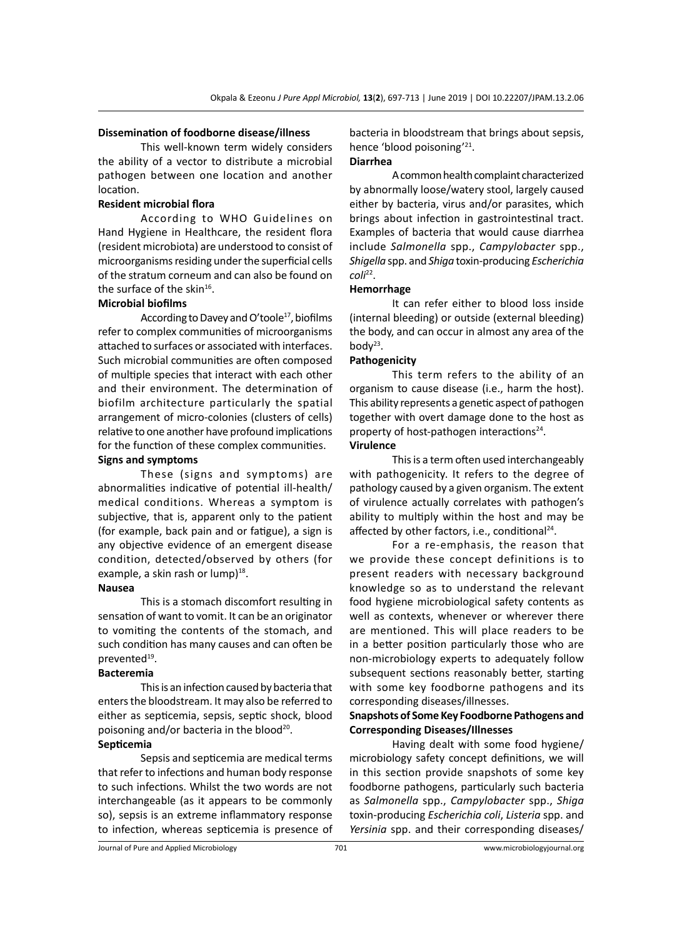#### **Dissemination of foodborne disease/illness**

This well-known term widely considers the ability of a vector to distribute a microbial pathogen between one location and another location.

### **Resident microbial flora**

According to WHO Guidelines on Hand Hygiene in Healthcare, the resident flora (resident microbiota) are understood to consist of microorganisms residing under the superficial cells of the stratum corneum and can also be found on the surface of the skin<sup>16</sup>.

### **Microbial biofilms**

According to Davey and O'toole<sup>17</sup>, biofilms refer to complex communities of microorganisms attached to surfaces or associated with interfaces. Such microbial communities are often composed of multiple species that interact with each other and their environment. The determination of biofilm architecture particularly the spatial arrangement of micro-colonies (clusters of cells) relative to one another have profound implications for the function of these complex communities.

#### **Signs and symptoms**

These (signs and symptoms) are abnormalities indicative of potential ill-health/ medical conditions. Whereas a symptom is subjective, that is, apparent only to the patient (for example, back pain and or fatigue), a sign is any objective evidence of an emergent disease condition, detected/observed by others (for example, a skin rash or lump $)^{18}$ .

#### **Nausea**

This is a stomach discomfort resulting in sensation of want to vomit. It can be an originator to vomiting the contents of the stomach, and such condition has many causes and can often be prevented<sup>19</sup>.

#### **Bacteremia**

This is an infection caused by bacteria that enters the bloodstream. It may also be referred to either as septicemia, sepsis, septic shock, blood poisoning and/or bacteria in the blood<sup>20</sup>.

# **Septicemia**

Sepsis and septicemia are medical terms that refer to infections and human body response to such infections. Whilst the two words are not interchangeable (as it appears to be commonly so), sepsis is an extreme inflammatory response to infection, whereas septicemia is presence of bacteria in bloodstream that brings about sepsis, hence 'blood poisoning'21.

# **Diarrhea**

A common health complaint characterized by abnormally loose/watery stool, largely caused either by bacteria, virus and/or parasites, which brings about infection in gastrointestinal tract. Examples of bacteria that would cause diarrhea include *Salmonella* spp., *Campylobacter* spp., *Shigella* spp. and *Shiga* toxin-producing *Escherichia coli*22.

# **Hemorrhage**

It can refer either to blood loss inside (internal bleeding) or outside (external bleeding) the body, and can occur in almost any area of the bod $y^{23}$ .

#### **Pathogenicity**

This term refers to the ability of an organism to cause disease (i.e., harm the host). This ability represents a genetic aspect of pathogen together with overt damage done to the host as property of host-pathogen interactions<sup>24</sup>.

# **Virulence**

This is a term often used interchangeably with pathogenicity. It refers to the degree of pathology caused by a given organism. The extent of virulence actually correlates with pathogen's ability to multiply within the host and may be affected by other factors, i.e., conditional<sup>24</sup>.

For a re-emphasis, the reason that we provide these concept definitions is to present readers with necessary background knowledge so as to understand the relevant food hygiene microbiological safety contents as well as contexts, whenever or wherever there are mentioned. This will place readers to be in a better position particularly those who are non-microbiology experts to adequately follow subsequent sections reasonably better, starting with some key foodborne pathogens and its corresponding diseases/illnesses.

# **Snapshots of Some Key Foodborne Pathogens and Corresponding Diseases/Illnesses**

Having dealt with some food hygiene/ microbiology safety concept definitions, we will in this section provide snapshots of some key foodborne pathogens, particularly such bacteria as *Salmonella* spp., *Campylobacter* spp., *Shiga*  toxin-producing *Escherichia coli*, *Listeria* spp. and *Yersinia* spp. and their corresponding diseases/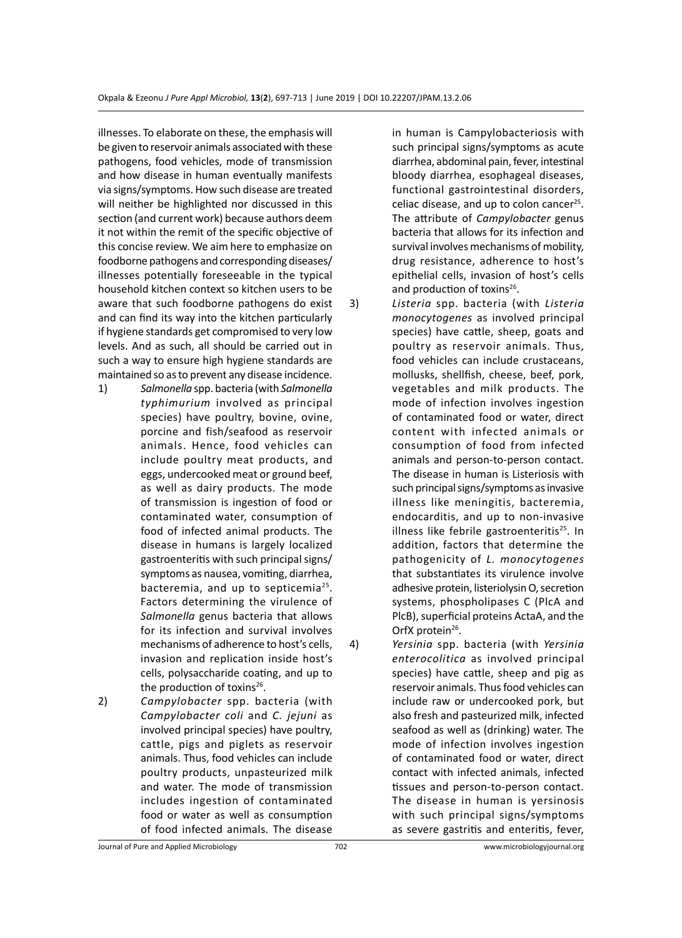illnesses. To elaborate on these, the emphasis will be given to reservoir animals associated with these pathogens, food vehicles, mode of transmission and how disease in human eventually manifests via signs/symptoms. How such disease are treated will neither be highlighted nor discussed in this section (and current work) because authors deem it not within the remit of the specific objective of this concise review. We aim here to emphasize on foodborne pathogens and corresponding diseases/ illnesses potentially foreseeable in the typical household kitchen context so kitchen users to be aware that such foodborne pathogens do exist and can find its way into the kitchen particularly if hygiene standards get compromised to very low levels. And as such, all should be carried out in such a way to ensure high hygiene standards are maintained so as to prevent any disease incidence.

- 1) *Salmonella* spp. bacteria (with *Salmonella typhimurium* involved as principal species) have poultry, bovine, ovine, porcine and fish/seafood as reservoir animals. Hence, food vehicles can include poultry meat products, and eggs, undercooked meat or ground beef, as well as dairy products. The mode of transmission is ingestion of food or contaminated water, consumption of food of infected animal products. The disease in humans is largely localized gastroenteritis with such principal signs/ symptoms as nausea, vomiting, diarrhea, bacteremia, and up to septicemia<sup>25</sup>. Factors determining the virulence of *Salmonella* genus bacteria that allows for its infection and survival involves mechanisms of adherence to host's cells, invasion and replication inside host's cells, polysaccharide coating, and up to the production of toxins<sup>26</sup>.
- 2) *Campylobacter* spp. bacteria (with *Campylobacter coli* and *C. jejuni* as involved principal species) have poultry, cattle, pigs and piglets as reservoir animals. Thus, food vehicles can include poultry products, unpasteurized milk and water. The mode of transmission includes ingestion of contaminated food or water as well as consumption of food infected animals. The disease

in human is Campylobacteriosis with such principal signs/symptoms as acute diarrhea, abdominal pain, fever, intestinal bloody diarrhea, esophageal diseases, functional gastrointestinal disorders, celiac disease, and up to colon cancer<sup>25</sup>. The attribute of *Campylobacter* genus bacteria that allows for its infection and survival involves mechanisms of mobility, drug resistance, adherence to host's epithelial cells, invasion of host's cells and production of toxins<sup>26</sup>.

- 3) *Listeria* spp. bacteria (with *Listeria monocytogenes* as involved principal species) have cattle, sheep, goats and poultry as reservoir animals. Thus, food vehicles can include crustaceans, mollusks, shellfish, cheese, beef, pork, vegetables and milk products. The mode of infection involves ingestion of contaminated food or water, direct content with infected animals or consumption of food from infected animals and person-to-person contact. The disease in human is Listeriosis with such principal signs/symptoms as invasive illness like meningitis, bacteremia, endocarditis, and up to non-invasive illness like febrile gastroenteritis<sup>25</sup>. In addition, factors that determine the pathogenicity of *L. monocytogenes*  that substantiates its virulence involve adhesive protein, listeriolysin O, secretion systems, phospholipases C (PlcA and PlcB), superficial proteins ActaA, and the OrfX protein<sup>26</sup>.
- 4) *Yersinia* spp. bacteria (with *Yersinia enterocolitica* as involved principal species) have cattle, sheep and pig as reservoir animals. Thus food vehicles can include raw or undercooked pork, but also fresh and pasteurized milk, infected seafood as well as (drinking) water. The mode of infection involves ingestion of contaminated food or water, direct contact with infected animals, infected tissues and person-to-person contact. The disease in human is yersinosis with such principal signs/symptoms as severe gastritis and enteritis, fever,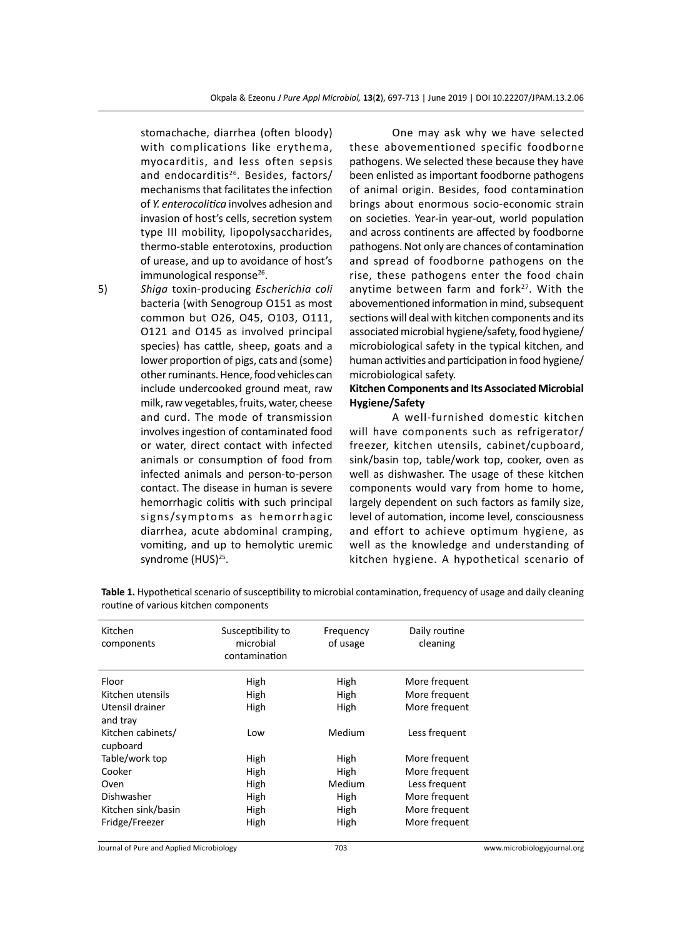stomachache, diarrhea (often bloody) with complications like erythema, myocarditis, and less often sepsis and endocarditis<sup>26</sup>. Besides, factors/ mechanisms that facilitates the infection of *Y. enterocolitica* involves adhesion and invasion of host's cells, secretion system type III mobility, lipopolysaccharides, thermo-stable enterotoxins, production of urease, and up to avoidance of host's  $immunological response<sup>26</sup>$ .

5) *Shiga* toxin-producing *Escherichia coli*  bacteria (with Senogroup O151 as most common but O26, O45, O103, O111, O121 and O145 as involved principal species) has cattle, sheep, goats and a lower proportion of pigs, cats and (some) other ruminants. Hence, food vehicles can include undercooked ground meat, raw milk, raw vegetables, fruits, water, cheese and curd. The mode of transmission involves ingestion of contaminated food or water, direct contact with infected animals or consumption of food from infected animals and person-to-person contact. The disease in human is severe hemorrhagic colitis with such principal signs/symptoms as hemorrhagic diarrhea, acute abdominal cramping, vomiting, and up to hemolytic uremic syndrome (HUS)<sup>25</sup>.

One may ask why we have selected these abovementioned specific foodborne pathogens. We selected these because they have been enlisted as important foodborne pathogens of animal origin. Besides, food contamination brings about enormous socio-economic strain on societies. Year-in year-out, world population and across continents are affected by foodborne pathogens. Not only are chances of contamination and spread of foodborne pathogens on the rise, these pathogens enter the food chain anytime between farm and fork<sup>27</sup>. With the abovementioned information in mind, subsequent sections will deal with kitchen components and its associated microbial hygiene/safety, food hygiene/ microbiological safety in the typical kitchen, and human activities and participation in food hygiene/ microbiological safety.

# **Kitchen Components and Its Associated Microbial Hygiene/Safety**

A well-furnished domestic kitchen will have components such as refrigerator/ freezer, kitchen utensils, cabinet/cupboard, sink/basin top, table/work top, cooker, oven as well as dishwasher. The usage of these kitchen components would vary from home to home, largely dependent on such factors as family size, level of automation, income level, consciousness and effort to achieve optimum hygiene, as well as the knowledge and understanding of kitchen hygiene. A hypothetical scenario of

| Susceptibility to<br>microbial<br>contamination | Frequency<br>of usage        | Daily routine<br>cleaning |                                                 |
|-------------------------------------------------|------------------------------|---------------------------|-------------------------------------------------|
|                                                 |                              |                           |                                                 |
| High                                            | High                         | More frequent             |                                                 |
| High                                            | High                         | More frequent             |                                                 |
| High                                            | High                         | More frequent             |                                                 |
|                                                 |                              |                           |                                                 |
| Low                                             | Medium                       | Less frequent             |                                                 |
|                                                 |                              |                           |                                                 |
| High                                            | High                         | More frequent             |                                                 |
|                                                 | High                         | More frequent             |                                                 |
|                                                 | Medium                       |                           |                                                 |
|                                                 |                              |                           |                                                 |
|                                                 |                              |                           |                                                 |
| High                                            | High                         | More frequent             |                                                 |
|                                                 | High<br>High<br>High<br>High | High<br>High              | Less frequent<br>More frequent<br>More frequent |

**Table 1.** Hypothetical scenario of susceptibility to microbial contamination, frequency of usage and daily cleaning routine of various kitchen components

Journal of Pure and Applied Microbiology 703 www.microbiologyjournal.org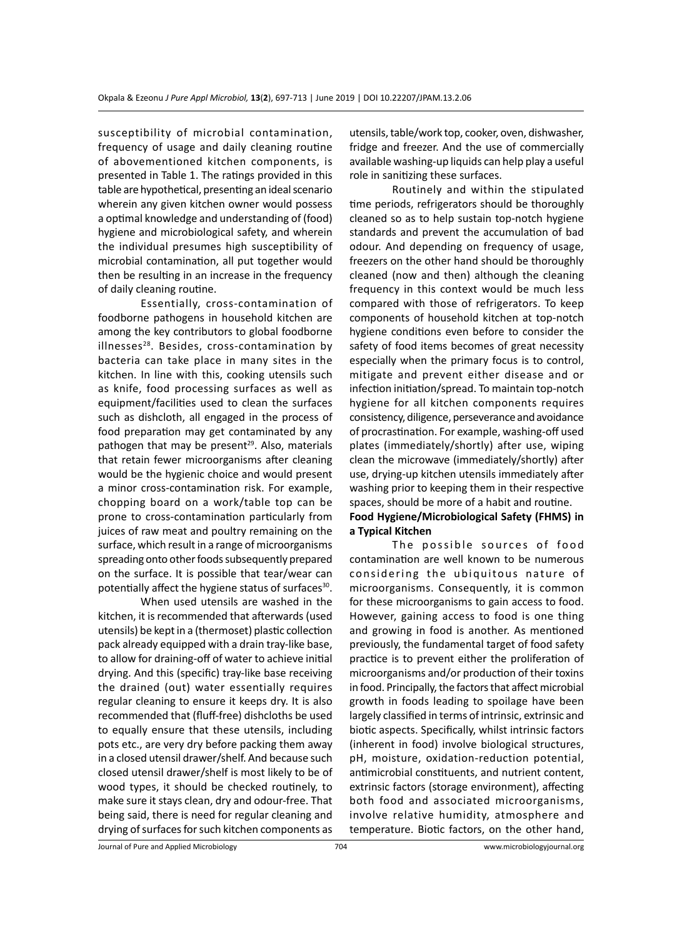susceptibility of microbial contamination, frequency of usage and daily cleaning routine of abovementioned kitchen components, is presented in Table 1. The ratings provided in this table are hypothetical, presenting an ideal scenario wherein any given kitchen owner would possess a optimal knowledge and understanding of (food) hygiene and microbiological safety, and wherein the individual presumes high susceptibility of microbial contamination, all put together would then be resulting in an increase in the frequency of daily cleaning routine.

Essentially, cross-contamination of foodborne pathogens in household kitchen are among the key contributors to global foodborne illnesses $^{28}$ . Besides, cross-contamination by bacteria can take place in many sites in the kitchen. In line with this, cooking utensils such as knife, food processing surfaces as well as equipment/facilities used to clean the surfaces such as dishcloth, all engaged in the process of food preparation may get contaminated by any pathogen that may be present<sup>29</sup>. Also, materials that retain fewer microorganisms after cleaning would be the hygienic choice and would present a minor cross-contamination risk. For example, chopping board on a work/table top can be prone to cross-contamination particularly from juices of raw meat and poultry remaining on the surface, which result in a range of microorganisms spreading onto other foods subsequently prepared on the surface. It is possible that tear/wear can potentially affect the hygiene status of surfaces<sup>30</sup>.

When used utensils are washed in the kitchen, it is recommended that afterwards (used utensils) be kept in a (thermoset) plastic collection pack already equipped with a drain tray-like base, to allow for draining-off of water to achieve initial drying. And this (specific) tray-like base receiving the drained (out) water essentially requires regular cleaning to ensure it keeps dry. It is also recommended that (fluff-free) dishcloths be used to equally ensure that these utensils, including pots etc., are very dry before packing them away in a closed utensil drawer/shelf. And because such closed utensil drawer/shelf is most likely to be of wood types, it should be checked routinely, to make sure it stays clean, dry and odour-free. That being said, there is need for regular cleaning and drying of surfaces for such kitchen components as utensils, table/work top, cooker, oven, dishwasher, fridge and freezer. And the use of commercially available washing-up liquids can help play a useful role in sanitizing these surfaces.

Routinely and within the stipulated time periods, refrigerators should be thoroughly cleaned so as to help sustain top-notch hygiene standards and prevent the accumulation of bad odour. And depending on frequency of usage, freezers on the other hand should be thoroughly cleaned (now and then) although the cleaning frequency in this context would be much less compared with those of refrigerators. To keep components of household kitchen at top-notch hygiene conditions even before to consider the safety of food items becomes of great necessity especially when the primary focus is to control, mitigate and prevent either disease and or infection initiation/spread. To maintain top-notch hygiene for all kitchen components requires consistency, diligence, perseverance and avoidance of procrastination. For example, washing-off used plates (immediately/shortly) after use, wiping clean the microwave (immediately/shortly) after use, drying-up kitchen utensils immediately after washing prior to keeping them in their respective spaces, should be more of a habit and routine.

# **Food Hygiene/Microbiological Safety (FHMS) in a Typical Kitchen**

The possible sources of food contamination are well known to be numerous considering the ubiquitous nature of microorganisms. Consequently, it is common for these microorganisms to gain access to food. However, gaining access to food is one thing and growing in food is another. As mentioned previously, the fundamental target of food safety practice is to prevent either the proliferation of microorganisms and/or production of their toxins in food. Principally, the factors that affect microbial growth in foods leading to spoilage have been largely classified in terms of intrinsic, extrinsic and biotic aspects. Specifically, whilst intrinsic factors (inherent in food) involve biological structures, pH, moisture, oxidation-reduction potential, antimicrobial constituents, and nutrient content, extrinsic factors (storage environment), affecting both food and associated microorganisms, involve relative humidity, atmosphere and temperature. Biotic factors, on the other hand,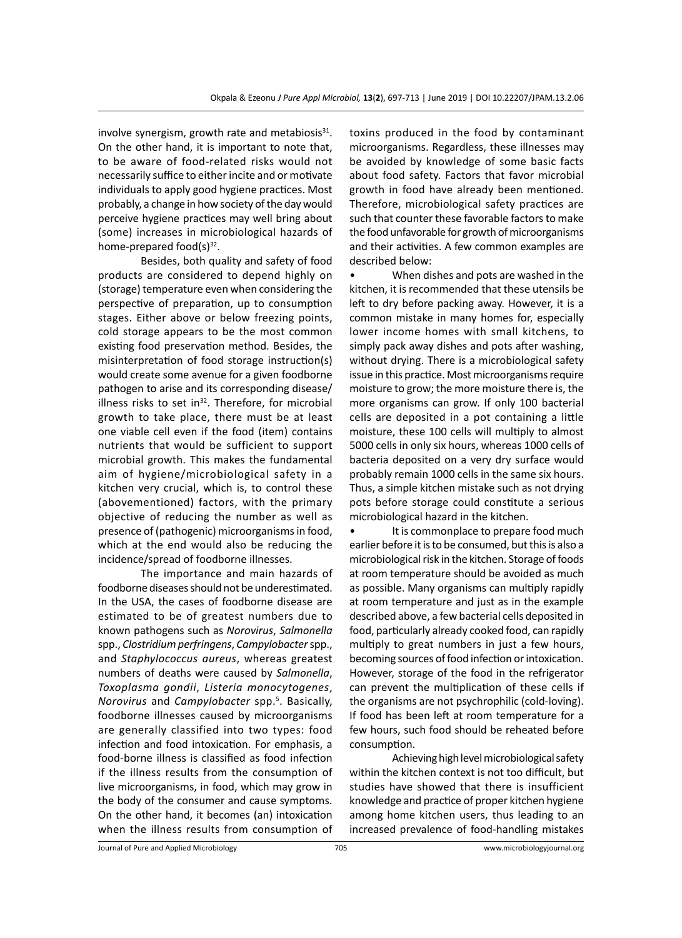involve synergism, growth rate and metabiosis $31$ . On the other hand, it is important to note that, to be aware of food-related risks would not necessarily suffice to either incite and or motivate individuals to apply good hygiene practices. Most probably, a change in how society of the day would perceive hygiene practices may well bring about (some) increases in microbiological hazards of home-prepared food( $s$ )<sup>32</sup>.

Besides, both quality and safety of food products are considered to depend highly on (storage) temperature even when considering the perspective of preparation, up to consumption stages. Either above or below freezing points, cold storage appears to be the most common existing food preservation method. Besides, the misinterpretation of food storage instruction(s) would create some avenue for a given foodborne pathogen to arise and its corresponding disease/ illness risks to set in $32$ . Therefore, for microbial growth to take place, there must be at least one viable cell even if the food (item) contains nutrients that would be sufficient to support microbial growth. This makes the fundamental aim of hygiene/microbiological safety in a kitchen very crucial, which is, to control these (abovementioned) factors, with the primary objective of reducing the number as well as presence of (pathogenic) microorganisms in food, which at the end would also be reducing the incidence/spread of foodborne illnesses.

The importance and main hazards of foodborne diseases should not be underestimated. In the USA, the cases of foodborne disease are estimated to be of greatest numbers due to known pathogens such as *Norovirus*, *Salmonella* spp., *Clostridium perfringens*, *Campylobacter* spp., and *Staphylococcus aureus*, whereas greatest numbers of deaths were caused by *Salmonella*, *Toxoplasma gondii*, *Listeria monocytogenes*, *Norovirus* and *Campylobacter* spp.<sup>5</sup> . Basically, foodborne illnesses caused by microorganisms are generally classified into two types: food infection and food intoxication. For emphasis, a food-borne illness is classified as food infection if the illness results from the consumption of live microorganisms, in food, which may grow in the body of the consumer and cause symptoms. On the other hand, it becomes (an) intoxication when the illness results from consumption of

toxins produced in the food by contaminant microorganisms. Regardless, these illnesses may be avoided by knowledge of some basic facts about food safety. Factors that favor microbial growth in food have already been mentioned. Therefore, microbiological safety practices are such that counter these favorable factors to make the food unfavorable for growth of microorganisms and their activities. A few common examples are described below:

• When dishes and pots are washed in the kitchen, it is recommended that these utensils be left to dry before packing away. However, it is a common mistake in many homes for, especially lower income homes with small kitchens, to simply pack away dishes and pots after washing, without drying. There is a microbiological safety issue in this practice. Most microorganisms require moisture to grow; the more moisture there is, the more organisms can grow. If only 100 bacterial cells are deposited in a pot containing a little moisture, these 100 cells will multiply to almost 5000 cells in only six hours, whereas 1000 cells of bacteria deposited on a very dry surface would probably remain 1000 cells in the same six hours. Thus, a simple kitchen mistake such as not drying pots before storage could constitute a serious microbiological hazard in the kitchen.

• It is commonplace to prepare food much earlier before it is to be consumed, but this is also a microbiological risk in the kitchen. Storage of foods at room temperature should be avoided as much as possible. Many organisms can multiply rapidly at room temperature and just as in the example described above, a few bacterial cells deposited in food, particularly already cooked food, can rapidly multiply to great numbers in just a few hours, becoming sources of food infection or intoxication. However, storage of the food in the refrigerator can prevent the multiplication of these cells if the organisms are not psychrophilic (cold-loving). If food has been left at room temperature for a few hours, such food should be reheated before consumption.

Achieving high level microbiological safety within the kitchen context is not too difficult, but studies have showed that there is insufficient knowledge and practice of proper kitchen hygiene among home kitchen users, thus leading to an increased prevalence of food-handling mistakes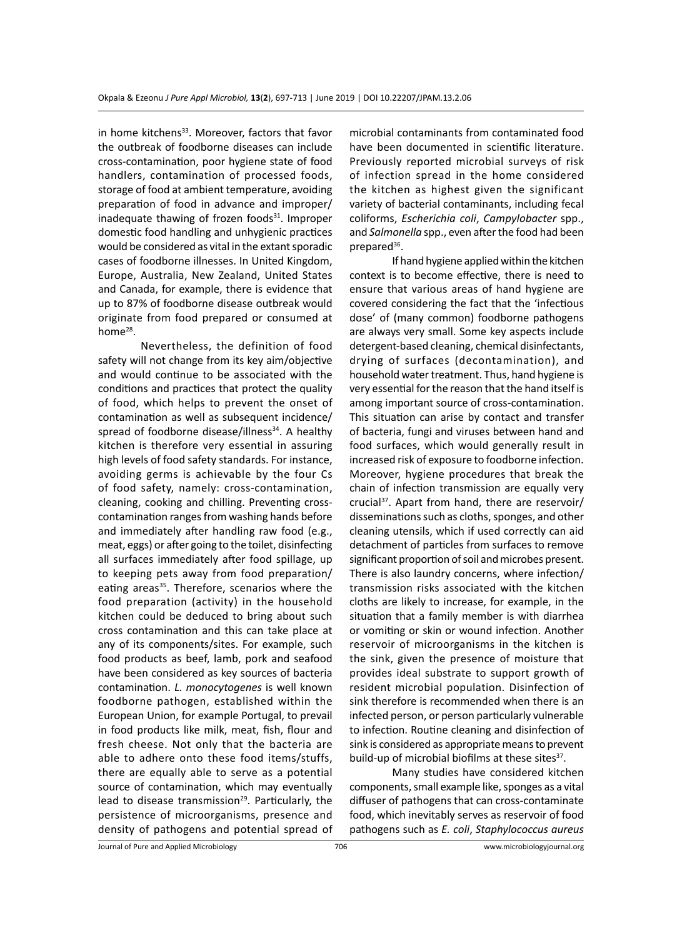in home kitchens<sup>33</sup>. Moreover, factors that favor the outbreak of foodborne diseases can include cross-contamination, poor hygiene state of food handlers, contamination of processed foods, storage of food at ambient temperature, avoiding preparation of food in advance and improper/ inadequate thawing of frozen foods $31$ . Improper domestic food handling and unhygienic practices would be considered as vital in the extant sporadic cases of foodborne illnesses. In United Kingdom, Europe, Australia, New Zealand, United States and Canada, for example, there is evidence that up to 87% of foodborne disease outbreak would originate from food prepared or consumed at home<sup>28</sup>.

Nevertheless, the definition of food safety will not change from its key aim/objective and would continue to be associated with the conditions and practices that protect the quality of food, which helps to prevent the onset of contamination as well as subsequent incidence/ spread of foodborne disease/illness $34$ . A healthy kitchen is therefore very essential in assuring high levels of food safety standards. For instance, avoiding germs is achievable by the four Cs of food safety, namely: cross-contamination, cleaning, cooking and chilling. Preventing crosscontamination ranges from washing hands before and immediately after handling raw food (e.g., meat, eggs) or after going to the toilet, disinfecting all surfaces immediately after food spillage, up to keeping pets away from food preparation/ eating areas<sup>35</sup>. Therefore, scenarios where the food preparation (activity) in the household kitchen could be deduced to bring about such cross contamination and this can take place at any of its components/sites. For example, such food products as beef, lamb, pork and seafood have been considered as key sources of bacteria contamination. *L. monocytogenes* is well known foodborne pathogen, established within the European Union, for example Portugal, to prevail in food products like milk, meat, fish, flour and fresh cheese. Not only that the bacteria are able to adhere onto these food items/stuffs, there are equally able to serve as a potential source of contamination, which may eventually lead to disease transmission<sup>29</sup>. Particularly, the persistence of microorganisms, presence and density of pathogens and potential spread of microbial contaminants from contaminated food have been documented in scientific literature. Previously reported microbial surveys of risk of infection spread in the home considered the kitchen as highest given the significant variety of bacterial contaminants, including fecal coliforms, *Escherichia coli*, *Campylobacter* spp., and *Salmonella* spp., even after the food had been prepared<sup>36</sup>.

If hand hygiene applied within the kitchen context is to become effective, there is need to ensure that various areas of hand hygiene are covered considering the fact that the 'infectious dose' of (many common) foodborne pathogens are always very small. Some key aspects include detergent-based cleaning, chemical disinfectants, drying of surfaces (decontamination), and household water treatment. Thus, hand hygiene is very essential for the reason that the hand itself is among important source of cross-contamination. This situation can arise by contact and transfer of bacteria, fungi and viruses between hand and food surfaces, which would generally result in increased risk of exposure to foodborne infection. Moreover, hygiene procedures that break the chain of infection transmission are equally very crucial<sup>37</sup>. Apart from hand, there are reservoir/ disseminations such as cloths, sponges, and other cleaning utensils, which if used correctly can aid detachment of particles from surfaces to remove significant proportion of soil and microbes present. There is also laundry concerns, where infection/ transmission risks associated with the kitchen cloths are likely to increase, for example, in the situation that a family member is with diarrhea or vomiting or skin or wound infection. Another reservoir of microorganisms in the kitchen is the sink, given the presence of moisture that provides ideal substrate to support growth of resident microbial population. Disinfection of sink therefore is recommended when there is an infected person, or person particularly vulnerable to infection. Routine cleaning and disinfection of sink is considered as appropriate means to prevent build-up of microbial biofilms at these sites<sup>37</sup>.

Many studies have considered kitchen components, small example like, sponges as a vital diffuser of pathogens that can cross-contaminate food, which inevitably serves as reservoir of food pathogens such as *E. coli*, *Staphylococcus aureus*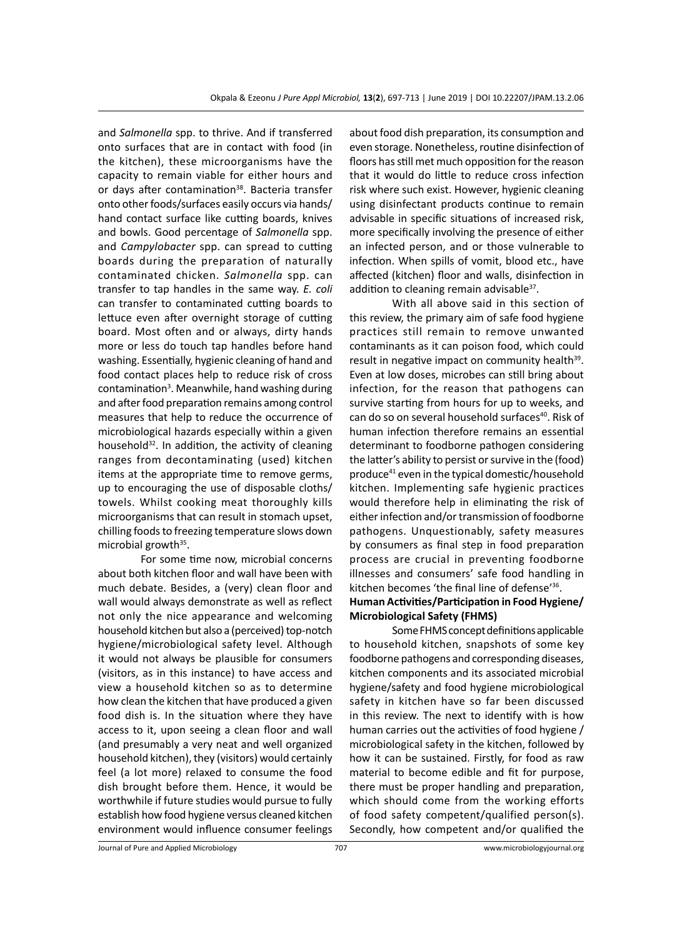and *Salmonella* spp. to thrive. And if transferred onto surfaces that are in contact with food (in the kitchen), these microorganisms have the capacity to remain viable for either hours and or days after contamination<sup>38</sup>. Bacteria transfer onto other foods/surfaces easily occurs via hands/ hand contact surface like cutting boards, knives and bowls. Good percentage of *Salmonella* spp. and *Campylobacter* spp. can spread to cutting boards during the preparation of naturally contaminated chicken. *Salmonella* spp. can transfer to tap handles in the same way. *E. coli* can transfer to contaminated cutting boards to lettuce even after overnight storage of cutting board. Most often and or always, dirty hands more or less do touch tap handles before hand washing. Essentially, hygienic cleaning of hand and food contact places help to reduce risk of cross contamination<sup>3</sup>. Meanwhile, hand washing during and after food preparation remains among control measures that help to reduce the occurrence of microbiological hazards especially within a given household $32$ . In addition, the activity of cleaning ranges from decontaminating (used) kitchen items at the appropriate time to remove germs, up to encouraging the use of disposable cloths/ towels. Whilst cooking meat thoroughly kills microorganisms that can result in stomach upset, chilling foods to freezing temperature slows down microbial growth<sup>35</sup>.

For some time now, microbial concerns about both kitchen floor and wall have been with much debate. Besides, a (very) clean floor and wall would always demonstrate as well as reflect not only the nice appearance and welcoming household kitchen but also a (perceived) top-notch hygiene/microbiological safety level. Although it would not always be plausible for consumers (visitors, as in this instance) to have access and view a household kitchen so as to determine how clean the kitchen that have produced a given food dish is. In the situation where they have access to it, upon seeing a clean floor and wall (and presumably a very neat and well organized household kitchen), they (visitors) would certainly feel (a lot more) relaxed to consume the food dish brought before them. Hence, it would be worthwhile if future studies would pursue to fully establish how food hygiene versus cleaned kitchen environment would influence consumer feelings

about food dish preparation, its consumption and even storage. Nonetheless, routine disinfection of floors has still met much opposition for the reason that it would do little to reduce cross infection risk where such exist. However, hygienic cleaning using disinfectant products continue to remain advisable in specific situations of increased risk, more specifically involving the presence of either an infected person, and or those vulnerable to infection. When spills of vomit, blood etc., have affected (kitchen) floor and walls, disinfection in addition to cleaning remain advisable<sup>37</sup>.

With all above said in this section of this review, the primary aim of safe food hygiene practices still remain to remove unwanted contaminants as it can poison food, which could result in negative impact on community health<sup>39</sup>. Even at low doses, microbes can still bring about infection, for the reason that pathogens can survive starting from hours for up to weeks, and can do so on several household surfaces<sup>40</sup>. Risk of human infection therefore remains an essential determinant to foodborne pathogen considering the latter's ability to persist or survive in the (food) produce41 even in the typical domestic/household kitchen. Implementing safe hygienic practices would therefore help in eliminating the risk of either infection and/or transmission of foodborne pathogens. Unquestionably, safety measures by consumers as final step in food preparation process are crucial in preventing foodborne illnesses and consumers' safe food handling in kitchen becomes 'the final line of defense'36.

# **Human Activities/Participation in Food Hygiene/ Microbiological Safety (FHMS)**

Some FHMS concept definitions applicable to household kitchen, snapshots of some key foodborne pathogens and corresponding diseases, kitchen components and its associated microbial hygiene/safety and food hygiene microbiological safety in kitchen have so far been discussed in this review. The next to identify with is how human carries out the activities of food hygiene / microbiological safety in the kitchen, followed by how it can be sustained. Firstly, for food as raw material to become edible and fit for purpose, there must be proper handling and preparation, which should come from the working efforts of food safety competent/qualified person(s). Secondly, how competent and/or qualified the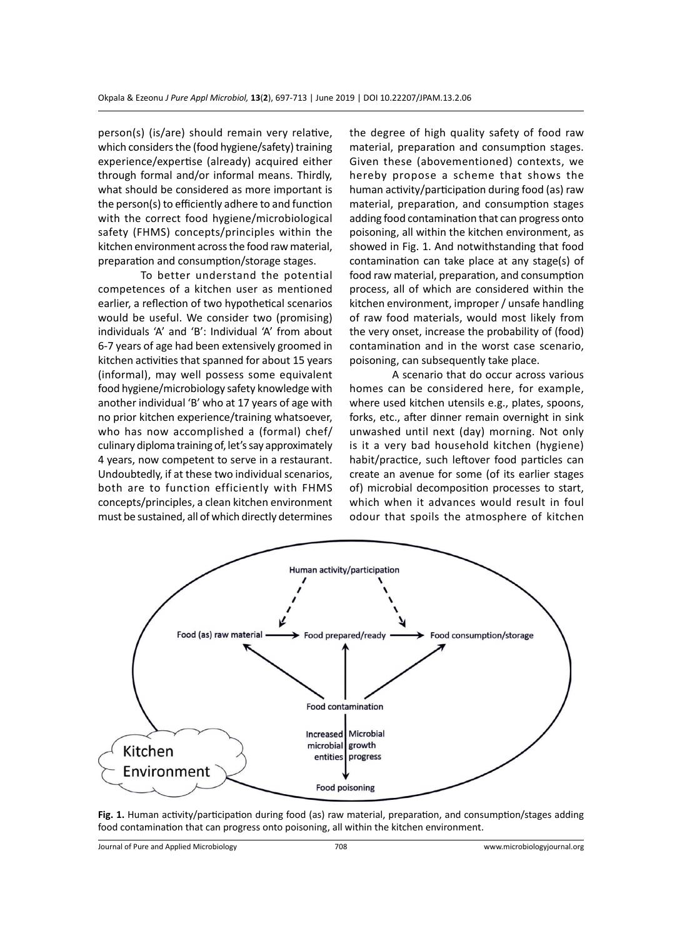person(s) (is/are) should remain very relative, which considers the (food hygiene/safety) training experience/expertise (already) acquired either through formal and/or informal means. Thirdly, what should be considered as more important is the person(s) to efficiently adhere to and function with the correct food hygiene/microbiological safety (FHMS) concepts/principles within the kitchen environment across the food raw material, preparation and consumption/storage stages.

To better understand the potential competences of a kitchen user as mentioned earlier, a reflection of two hypothetical scenarios would be useful. We consider two (promising) individuals 'A' and 'B': Individual 'A' from about 6-7 years of age had been extensively groomed in kitchen activities that spanned for about 15 years (informal), may well possess some equivalent food hygiene/microbiology safety knowledge with another individual 'B' who at 17 years of age with no prior kitchen experience/training whatsoever, who has now accomplished a (formal) chef/ culinary diploma training of, let's say approximately 4 years, now competent to serve in a restaurant. Undoubtedly, if at these two individual scenarios, both are to function efficiently with FHMS concepts/principles, a clean kitchen environment must be sustained, all of which directly determines the degree of high quality safety of food raw material, preparation and consumption stages. Given these (abovementioned) contexts, we hereby propose a scheme that shows the human activity/participation during food (as) raw material, preparation, and consumption stages adding food contamination that can progress onto poisoning, all within the kitchen environment, as showed in Fig. 1. And notwithstanding that food contamination can take place at any stage(s) of food raw material, preparation, and consumption process, all of which are considered within the kitchen environment, improper / unsafe handling of raw food materials, would most likely from the very onset, increase the probability of (food) contamination and in the worst case scenario, poisoning, can subsequently take place.

A scenario that do occur across various homes can be considered here, for example, where used kitchen utensils e.g., plates, spoons, forks, etc., after dinner remain overnight in sink unwashed until next (day) morning. Not only is it a very bad household kitchen (hygiene) habit/practice, such leftover food particles can create an avenue for some (of its earlier stages of) microbial decomposition processes to start, which when it advances would result in foul odour that spoils the atmosphere of kitchen



**Fig. 1.** Human activity/participation during food (as) raw material, preparation, and consumption/stages adding food contamination that can progress onto poisoning, all within the kitchen environment.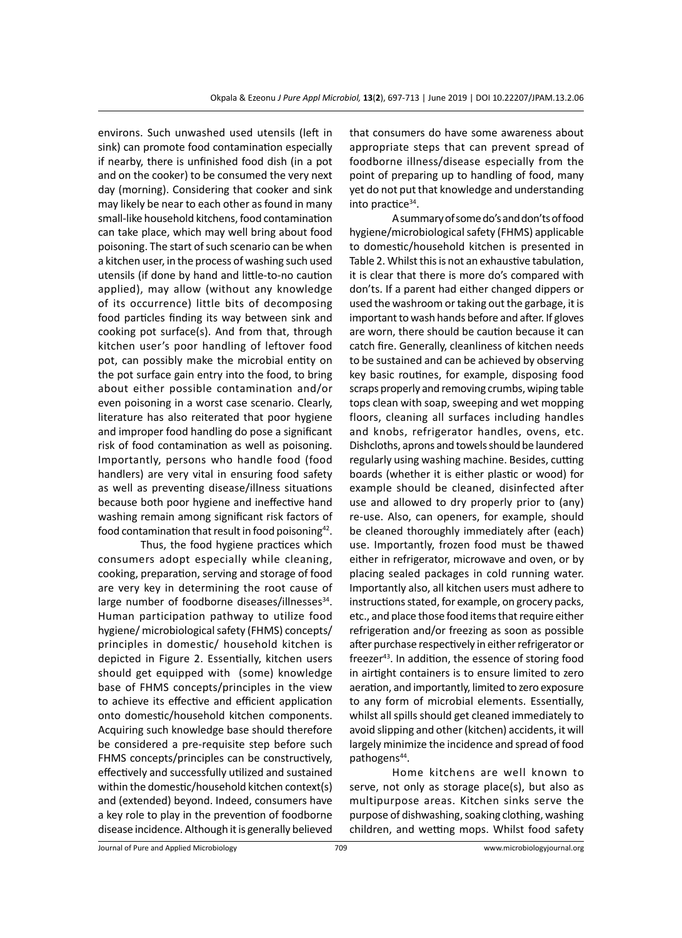environs. Such unwashed used utensils (left in sink) can promote food contamination especially if nearby, there is unfinished food dish (in a pot and on the cooker) to be consumed the very next day (morning). Considering that cooker and sink may likely be near to each other as found in many small-like household kitchens, food contamination can take place, which may well bring about food poisoning. The start of such scenario can be when a kitchen user, in the process of washing such used utensils (if done by hand and little-to-no caution applied), may allow (without any knowledge of its occurrence) little bits of decomposing food particles finding its way between sink and cooking pot surface(s). And from that, through kitchen user's poor handling of leftover food pot, can possibly make the microbial entity on the pot surface gain entry into the food, to bring about either possible contamination and/or even poisoning in a worst case scenario. Clearly, literature has also reiterated that poor hygiene and improper food handling do pose a significant risk of food contamination as well as poisoning. Importantly, persons who handle food (food handlers) are very vital in ensuring food safety as well as preventing disease/illness situations because both poor hygiene and ineffective hand washing remain among significant risk factors of food contamination that result in food poisoning<sup>42</sup>.

Thus, the food hygiene practices which consumers adopt especially while cleaning, cooking, preparation, serving and storage of food are very key in determining the root cause of large number of foodborne diseases/illnesses<sup>34</sup>. Human participation pathway to utilize food hygiene/ microbiological safety (FHMS) concepts/ principles in domestic/ household kitchen is depicted in Figure 2. Essentially, kitchen users should get equipped with (some) knowledge base of FHMS concepts/principles in the view to achieve its effective and efficient application onto domestic/household kitchen components. Acquiring such knowledge base should therefore be considered a pre-requisite step before such FHMS concepts/principles can be constructively, effectively and successfully utilized and sustained within the domestic/household kitchen context(s) and (extended) beyond. Indeed, consumers have a key role to play in the prevention of foodborne disease incidence. Although it is generally believed that consumers do have some awareness about appropriate steps that can prevent spread of foodborne illness/disease especially from the point of preparing up to handling of food, many yet do not put that knowledge and understanding into practice $34$ .

A summary of some do's and don'ts of food hygiene/microbiological safety (FHMS) applicable to domestic/household kitchen is presented in Table 2. Whilst this is not an exhaustive tabulation, it is clear that there is more do's compared with don'ts. If a parent had either changed dippers or used the washroom or taking out the garbage, it is important to wash hands before and after. If gloves are worn, there should be caution because it can catch fire. Generally, cleanliness of kitchen needs to be sustained and can be achieved by observing key basic routines, for example, disposing food scraps properly and removing crumbs, wiping table tops clean with soap, sweeping and wet mopping floors, cleaning all surfaces including handles and knobs, refrigerator handles, ovens, etc. Dishcloths, aprons and towels should be laundered regularly using washing machine. Besides, cutting boards (whether it is either plastic or wood) for example should be cleaned, disinfected after use and allowed to dry properly prior to (any) re-use. Also, can openers, for example, should be cleaned thoroughly immediately after (each) use. Importantly, frozen food must be thawed either in refrigerator, microwave and oven, or by placing sealed packages in cold running water. Importantly also, all kitchen users must adhere to instructions stated, for example, on grocery packs, etc., and place those food items that require either refrigeration and/or freezing as soon as possible after purchase respectively in either refrigerator or freezer<sup>43</sup>. In addition, the essence of storing food in airtight containers is to ensure limited to zero aeration, and importantly, limited to zero exposure to any form of microbial elements. Essentially, whilst all spills should get cleaned immediately to avoid slipping and other (kitchen) accidents, it will largely minimize the incidence and spread of food pathogens<sup>44</sup>.

Home kitchens are well known to serve, not only as storage place(s), but also as multipurpose areas. Kitchen sinks serve the purpose of dishwashing, soaking clothing, washing children, and wetting mops. Whilst food safety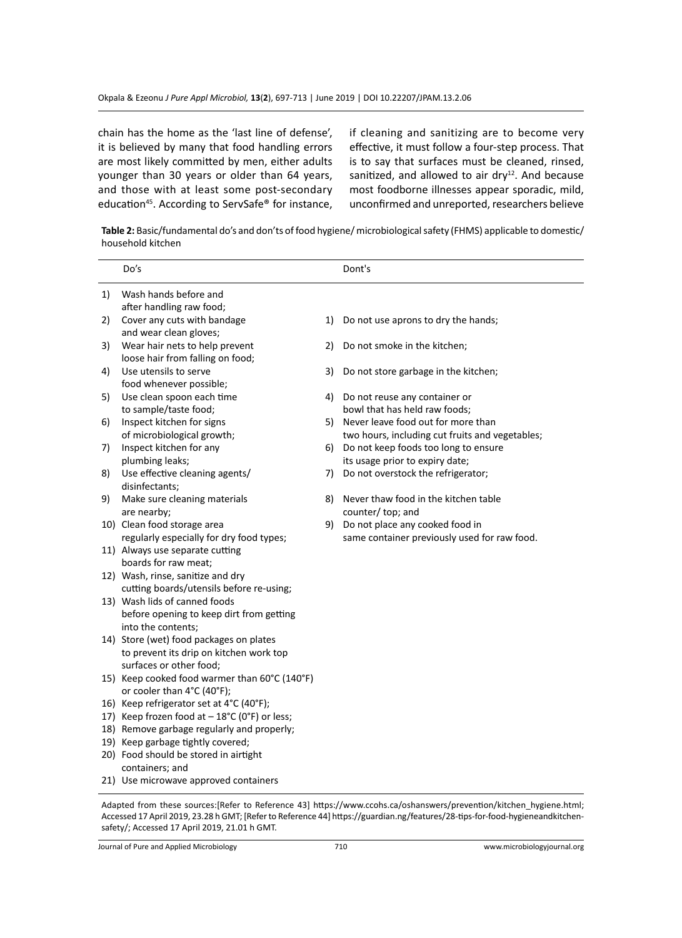chain has the home as the 'last line of defense', it is believed by many that food handling errors are most likely committed by men, either adults younger than 30 years or older than 64 years, and those with at least some post-secondary education<sup>45</sup>. According to ServSafe<sup>®</sup> for instance, if cleaning and sanitizing are to become very effective, it must follow a four-step process. That is to say that surfaces must be cleaned, rinsed, sanitized, and allowed to air dry $12$ . And because most foodborne illnesses appear sporadic, mild, unconfirmed and unreported, researchers believe

**Table 2:** Basic/fundamental do's and don'ts of food hygiene/ microbiological safety (FHMS) applicable to domestic/ household kitchen

|    | Do's                                                                            |    | Dont's                                          |
|----|---------------------------------------------------------------------------------|----|-------------------------------------------------|
| 1) | Wash hands before and                                                           |    |                                                 |
|    | after handling raw food;                                                        |    |                                                 |
| 2) | Cover any cuts with bandage                                                     | 1) | Do not use aprons to dry the hands;             |
|    | and wear clean gloves;                                                          |    |                                                 |
| 3) | Wear hair nets to help prevent                                                  | 2) | Do not smoke in the kitchen;                    |
|    | loose hair from falling on food;                                                |    |                                                 |
| 4) | Use utensils to serve                                                           | 3) | Do not store garbage in the kitchen;            |
|    | food whenever possible;                                                         |    |                                                 |
| 5) | Use clean spoon each time                                                       | 4) | Do not reuse any container or                   |
|    | to sample/taste food;                                                           |    | bowl that has held raw foods;                   |
| 6) | Inspect kitchen for signs                                                       | 5) | Never leave food out for more than              |
|    | of microbiological growth;                                                      |    | two hours, including cut fruits and vegetables; |
| 7) | Inspect kitchen for any                                                         | 6) | Do not keep foods too long to ensure            |
|    | plumbing leaks;                                                                 |    | its usage prior to expiry date;                 |
| 8) | Use effective cleaning agents/                                                  | 7) | Do not overstock the refrigerator;              |
|    | disinfectants;                                                                  |    |                                                 |
| 9) | Make sure cleaning materials                                                    | 8) | Never thaw food in the kitchen table            |
|    | are nearby;                                                                     |    | counter/ top; and                               |
|    | 10) Clean food storage area                                                     | 9) | Do not place any cooked food in                 |
|    | regularly especially for dry food types;                                        |    | same container previously used for raw food.    |
|    | 11) Always use separate cutting                                                 |    |                                                 |
|    | boards for raw meat;                                                            |    |                                                 |
|    | 12) Wash, rinse, sanitize and dry                                               |    |                                                 |
|    | cutting boards/utensils before re-using;                                        |    |                                                 |
|    | 13) Wash lids of canned foods                                                   |    |                                                 |
|    | before opening to keep dirt from getting                                        |    |                                                 |
|    | into the contents;                                                              |    |                                                 |
|    | 14) Store (wet) food packages on plates                                         |    |                                                 |
|    | to prevent its drip on kitchen work top                                         |    |                                                 |
|    | surfaces or other food;                                                         |    |                                                 |
|    | 15) Keep cooked food warmer than 60°C (140°F)                                   |    |                                                 |
|    | or cooler than 4°C (40°F);<br>16) Keep refrigerator set at 4°C (40°F);          |    |                                                 |
|    |                                                                                 |    |                                                 |
|    | 17) Keep frozen food at - 18°C (0°F) or less;                                   |    |                                                 |
|    | 18) Remove garbage regularly and properly;<br>19) Keep garbage tightly covered; |    |                                                 |
|    | 20) Food should be stored in airtight                                           |    |                                                 |
|    | containers; and                                                                 |    |                                                 |
|    | 21) Use microwave approved containers                                           |    |                                                 |
|    |                                                                                 |    |                                                 |

Adapted from these sources:[Refer to Reference 43] https://www.ccohs.ca/oshanswers/prevention/kitchen\_hygiene.html; Accessed 17 April 2019, 23.28 h GMT; [Refer to Reference 44] https://guardian.ng/features/28-tips-for-food-hygieneandkitchensafety/; Accessed 17 April 2019, 21.01 h GMT.

Journal of Pure and Applied Microbiology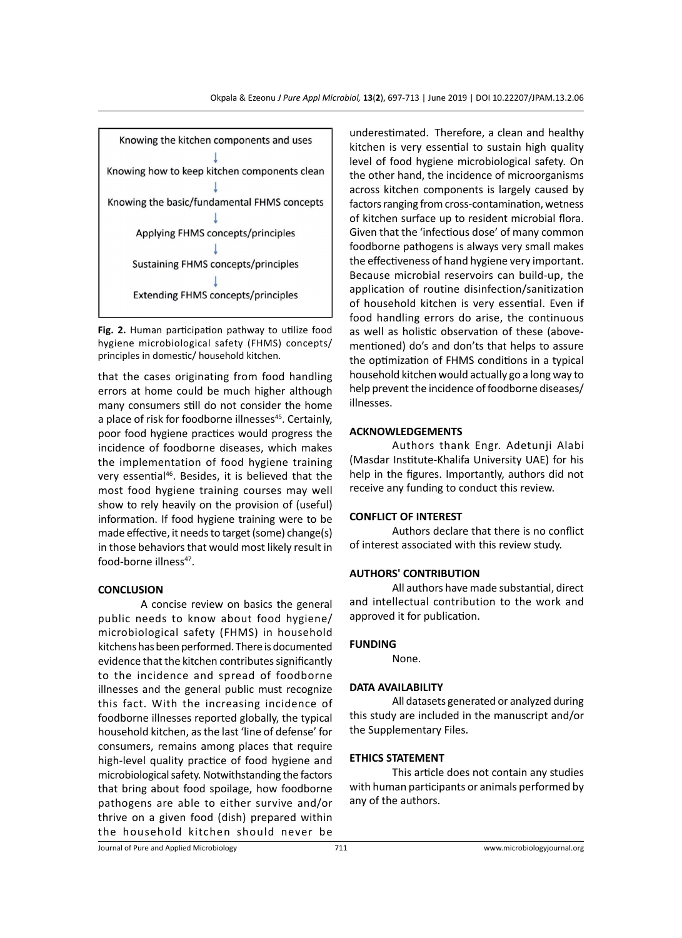

**Fig. 2.** Human participation pathway to utilize food hygiene microbiological safety (FHMS) concepts/ principles in domestic/ household kitchen.

that the cases originating from food handling errors at home could be much higher although many consumers still do not consider the home a place of risk for foodborne illnesses<sup>45</sup>. Certainly, poor food hygiene practices would progress the incidence of foodborne diseases, which makes the implementation of food hygiene training very essential<sup>46</sup>. Besides, it is believed that the most food hygiene training courses may well show to rely heavily on the provision of (useful) information. If food hygiene training were to be made effective, it needs to target (some) change(s) in those behaviors that would most likely result in food-borne illness<sup>47</sup>.

### **CONCLUSION**

A concise review on basics the general public needs to know about food hygiene/ microbiological safety (FHMS) in household kitchens has been performed. There is documented evidence that the kitchen contributes significantly to the incidence and spread of foodborne illnesses and the general public must recognize this fact. With the increasing incidence of foodborne illnesses reported globally, the typical household kitchen, as the last 'line of defense' for consumers, remains among places that require high-level quality practice of food hygiene and microbiological safety. Notwithstanding the factors that bring about food spoilage, how foodborne pathogens are able to either survive and/or thrive on a given food (dish) prepared within the household kitchen should never be underestimated. Therefore, a clean and healthy kitchen is very essential to sustain high quality level of food hygiene microbiological safety. On the other hand, the incidence of microorganisms across kitchen components is largely caused by factors ranging from cross-contamination, wetness of kitchen surface up to resident microbial flora. Given that the 'infectious dose' of many common foodborne pathogens is always very small makes the effectiveness of hand hygiene very important. Because microbial reservoirs can build-up, the application of routine disinfection/sanitization of household kitchen is very essential. Even if food handling errors do arise, the continuous as well as holistic observation of these (abovementioned) do's and don'ts that helps to assure the optimization of FHMS conditions in a typical household kitchen would actually go a long way to help prevent the incidence of foodborne diseases/ illnesses.

# **ACKNOWLEDGEMENTS**

Authors thank Engr. Adetunji Alabi (Masdar Institute-Khalifa University UAE) for his help in the figures. Importantly, authors did not receive any funding to conduct this review.

# **CONFLICT OF INTEREST**

Authors declare that there is no conflict of interest associated with this review study.

# **AUTHORS' CONTRIBUTION**

All authors have made substantial, direct and intellectual contribution to the work and approved it for publication.

# **FUNDING**

None.

# **DATA AVAILABILITY**

All datasets generated or analyzed during this study are included in the manuscript and/or the Supplementary Files.

# **ETHICS STATEMENT**

This article does not contain any studies with human participants or animals performed by any of the authors.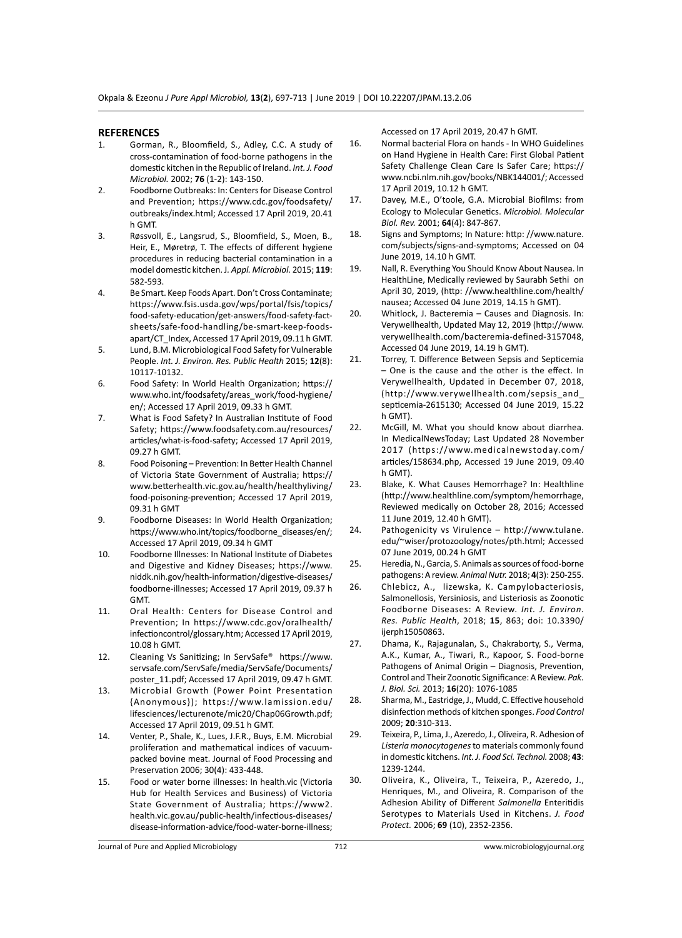#### **REFERENCES**

- 1. Gorman, R., Bloomfield, S., Adley, C.C. A study of cross-contamination of food-borne pathogens in the domestic kitchen in the Republic of Ireland. *Int. J. Food Microbiol.* 2002; **76** (1-2): 143-150.
- 2. Foodborne Outbreaks: In: Centers for Disease Control and Prevention; https://www.cdc.gov/foodsafety/ outbreaks/index.html; Accessed 17 April 2019, 20.41 h GMT.
- 3. Røssvoll, E., Langsrud, S., Bloomfield, S., Moen, B., Heir, E., Møretrø, T. The effects of different hygiene procedures in reducing bacterial contamination in a model domestic kitchen. J*. Appl. Microbiol.* 2015; **119**: 582-593.
- 4. Be Smart. Keep Foods Apart. Don't Cross Contaminate; https://www.fsis.usda.gov/wps/portal/fsis/topics/ food-safety-education/get-answers/food-safety-factsheets/safe-food-handling/be-smart-keep-foodsapart/CT\_Index, Accessed 17 April 2019, 09.11 h GMT.
- 5. Lund, B.M. Microbiological Food Safety for Vulnerable People. *Int. J. Environ. Res. Public Health* 2015; **12**(8): 10117-10132.
- 6. Food Safety: In World Health Organization; https:// www.who.int/foodsafety/areas\_work/food-hygiene/ en/; Accessed 17 April 2019, 09.33 h GMT.
- 7. What is Food Safety? In Australian Institute of Food Safety; https://www.foodsafety.com.au/resources/ articles/what-is-food-safety; Accessed 17 April 2019, 09.27 h GMT.
- 8. Food Poisoning Prevention: In Better Health Channel of Victoria State Government of Australia; https:// www.betterhealth.vic.gov.au/health/healthyliving/ food-poisoning-prevention; Accessed 17 April 2019, 09.31 h GMT
- 9. Foodborne Diseases: In World Health Organization; https://www.who.int/topics/foodborne\_diseases/en/; Accessed 17 April 2019, 09.34 h GMT
- 10. Foodborne Illnesses: In National Institute of Diabetes and Digestive and Kidney Diseases; https://www. niddk.nih.gov/health-information/digestive-diseases/ foodborne-illnesses; Accessed 17 April 2019, 09.37 h GMT.
- 11. Oral Health: Centers for Disease Control and Prevention; In https://www.cdc.gov/oralhealth/ infectioncontrol/glossary.htm; Accessed 17 April 2019, 10.08 h GMT.
- 12. Cleaning Vs Sanitizing; In ServSafe® https://www. servsafe.com/ServSafe/media/ServSafe/Documents/ poster\_11.pdf; Accessed 17 April 2019, 09.47 h GMT.
- 13. Microbial Growth (Power Point Presentation {Anonymous}); https://www.lamission.edu/ lifesciences/lecturenote/mic20/Chap06Growth.pdf; Accessed 17 April 2019, 09.51 h GMT.
- 14. Venter, P., Shale, K., Lues, J.F.R., Buys, E.M. Microbial proliferation and mathematical indices of vacuumpacked bovine meat. Journal of Food Processing and Preservation 2006; 30(4): 433-448.
- 15. Food or water borne illnesses: In health.vic (Victoria Hub for Health Services and Business) of Victoria State Government of Australia; https://www2. health.vic.gov.au/public-health/infectious-diseases/ disease-information-advice/food-water-borne-illness;

Accessed on 17 April 2019, 20.47 h GMT.

- 16. Normal bacterial Flora on hands In WHO Guidelines on Hand Hygiene in Health Care: First Global Patient Safety Challenge Clean Care Is Safer Care; https:// www.ncbi.nlm.nih.gov/books/NBK144001/; Accessed 17 April 2019, 10.12 h GMT.
- 17. Davey, M.E., O'toole, G.A. Microbial Biofilms: from Ecology to Molecular Genetics. *Microbiol. Molecular Biol. Rev.* 2001; **64**(4): 847-867.
- 18. Signs and Symptoms; In Nature: http: //www.nature. com/subjects/signs-and-symptoms; Accessed on 04 June 2019, 14.10 h GMT.
- 19. Nall, R. Everything You Should Know About Nausea. In HealthLine, Medically reviewed by Saurabh Sethi on April 30, 2019, (http: //www.healthline.com/health/ nausea; Accessed 04 June 2019, 14.15 h GMT).
- 20. Whitlock, J. Bacteremia Causes and Diagnosis. In: Verywellhealth, Updated May 12, 2019 (http://www. verywellhealth.com/bacteremia-defined-3157048, Accessed 04 June 2019, 14.19 h GMT).
- 21. Torrey, T. Difference Between Sepsis and Septicemia – One is the cause and the other is the effect. In Verywellhealth, Updated in December 07, 2018, (http://www.verywellhealth.com/sepsis\_and\_ septicemia-2615130; Accessed 04 June 2019, 15.22 h GMT).
- 22. McGill, M. What you should know about diarrhea. In MedicalNewsToday; Last Updated 28 November 2017 (https://www.medicalnewstoday.com/ articles/158634.php, Accessed 19 June 2019, 09.40 h GMT).
- 23. Blake, K. What Causes Hemorrhage? In: Healthline (http://www.healthline.com/symptom/hemorrhage, Reviewed medically on October 28, 2016; Accessed 11 June 2019, 12.40 h GMT).
- 24. Pathogenicity vs Virulence http://www.tulane. edu/~wiser/protozoology/notes/pth.html; Accessed 07 June 2019, 00.24 h GMT
- 25. Heredia, N., Garcia, S. Animals as sources of food-borne pathogens: A review. *Animal Nutr.* 2018; **4**(3): 250-255.
- 26. Chlebicz, A., lizewska, K. Campylobacteriosis, Salmonellosis, Yersiniosis, and Listeriosis as Zoonotic Foodborne Diseases: A Review. *Int. J. Environ. Res. Public Health*, 2018; **15**, 863; doi: 10.3390/ ijerph15050863.
- 27. Dhama, K., Rajagunalan, S., Chakraborty, S., Verma, A.K., Kumar, A., Tiwari, R., Kapoor, S. Food-borne Pathogens of Animal Origin – Diagnosis, Prevention, Control and Their Zoonotic Significance: A Review. *Pak. J. Biol. Sci.* 2013; **16**(20): 1076-1085
- 28. Sharma, M., Eastridge, J., Mudd, C. Effective household disinfection methods of kitchen sponges. *Food Control* 2009; **20**:310-313.
- 29. Teixeira, P., Lima, J., Azeredo, J., Oliveira, R. Adhesion of *Listeria monocytogenes* to materials commonly found in domestic kitchens. *Int. J. Food Sci. Technol.* 2008; **43**: 1239-1244.
- 30. Oliveira, K., Oliveira, T., Teixeira, P., Azeredo, J., Henriques, M., and Oliveira, R. Comparison of the Adhesion Ability of Different *Salmonella* Enteritidis Serotypes to Materials Used in Kitchens. *J. Food Protect.* 2006; **69** (10), 2352-2356.